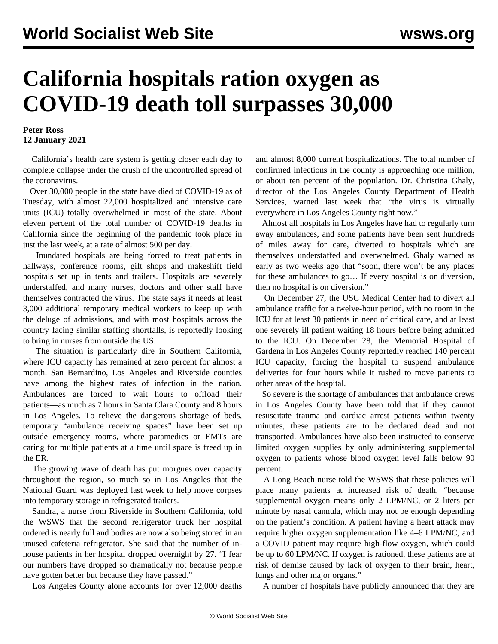## **California hospitals ration oxygen as COVID-19 death toll surpasses 30,000**

## **Peter Ross 12 January 2021**

 California's health care system is getting closer each day to complete collapse under the crush of the uncontrolled spread of the coronavirus.

 Over 30,000 people in the state have died of COVID-19 as of Tuesday, with almost 22,000 hospitalized and intensive care units (ICU) totally overwhelmed in most of the state. About eleven percent of the total number of COVID-19 deaths in California since the beginning of the pandemic took place in just the last week, at a rate of almost 500 per day.

 Inundated hospitals are being forced to treat patients in hallways, conference rooms, gift shops and makeshift field hospitals set up in tents and trailers. Hospitals are severely understaffed, and many nurses, doctors and other staff have themselves contracted the virus. The state says it needs at least 3,000 additional temporary medical workers to keep up with the deluge of admissions, and with most hospitals across the country facing similar staffing shortfalls, is reportedly looking to bring in nurses from outside the US.

 The situation is particularly dire in Southern California, where ICU capacity has remained at zero percent for almost a month. San Bernardino, Los Angeles and Riverside counties have among the highest rates of infection in the nation. Ambulances are forced to wait hours to offload their patients—as much as 7 hours in Santa Clara County and 8 hours in Los Angeles. To relieve the dangerous shortage of beds, temporary "ambulance receiving spaces" have been set up outside emergency rooms, where paramedics or EMTs are caring for multiple patients at a time until space is freed up in the ER.

 The growing wave of death has put morgues over capacity throughout the region, so much so in Los Angeles that the National Guard was deployed last week to help move corpses into temporary storage in refrigerated trailers.

 Sandra, a nurse from Riverside in Southern California, told the WSWS that the second refrigerator truck her hospital ordered is nearly full and bodies are now also being stored in an unused cafeteria refrigerator. She said that the number of inhouse patients in her hospital dropped overnight by 27. "I fear our numbers have dropped so dramatically not because people have gotten better but because they have passed."

Los Angeles County alone accounts for over 12,000 deaths

and almost 8,000 current hospitalizations. The total number of confirmed infections in the county is approaching one million, or about ten percent of the population. Dr. Christina Ghaly, director of the Los Angeles County Department of Health Services, warned last week that "the virus is virtually everywhere in Los Angeles County right now."

 Almost all hospitals in Los Angeles have had to regularly turn away ambulances, and some patients have been sent hundreds of miles away for care, diverted to hospitals which are themselves understaffed and overwhelmed. Ghaly warned as early as two weeks ago that "soon, there won't be any places for these ambulances to go… If every hospital is on diversion, then no hospital is on diversion."

 On December 27, the USC Medical Center had to divert all ambulance traffic for a twelve-hour period, with no room in the ICU for at least 30 patients in need of critical care, and at least one severely ill patient waiting 18 hours before being admitted to the ICU. On December 28, the Memorial Hospital of Gardena in Los Angeles County reportedly reached 140 percent ICU capacity, forcing the hospital to suspend ambulance deliveries for four hours while it rushed to move patients to other areas of the hospital.

So severe is the shortage of ambulances that ambulance crews in Los Angeles County have been told that if they cannot resuscitate trauma and cardiac arrest patients within twenty minutes, these patients are to be declared dead and not transported. Ambulances have also been instructed to conserve limited oxygen supplies by only administering supplemental oxygen to patients whose blood oxygen level falls below 90 percent.

 A Long Beach nurse told the WSWS that these policies will place many patients at increased risk of death, "because supplemental oxygen means only 2 LPM/NC, or 2 liters per minute by nasal cannula, which may not be enough depending on the patient's condition. A patient having a heart attack may require higher oxygen supplementation like 4–6 LPM/NC, and a COVID patient may require high-flow oxygen, which could be up to 60 LPM/NC. If oxygen is rationed, these patients are at risk of demise caused by lack of oxygen to their brain, heart, lungs and other major organs."

A number of hospitals have publicly announced that they are